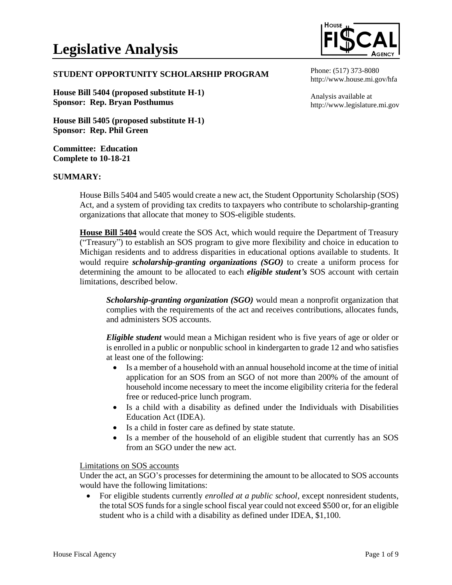

### **STUDENT OPPORTUNITY SCHOLARSHIP PROGRAM**

**House Bill 5404 (proposed substitute H-1) Sponsor: Rep. Bryan Posthumus**

**House Bill 5405 (proposed substitute H-1) Sponsor: Rep. Phil Green**

**Committee: Education Complete to 10-18-21**

### **SUMMARY:**

http://www.house.mi.gov/hfa

Phone: (517) 373-8080

Analysis available at http://www.legislature.mi.gov

House Bills 5404 and 5405 would create a new act, the Student Opportunity Scholarship (SOS) Act, and a system of providing tax credits to taxpayers who contribute to scholarship-granting organizations that allocate that money to SOS-eligible students.

**House Bill 5404** would create the SOS Act, which would require the Department of Treasury ("Treasury") to establish an SOS program to give more flexibility and choice in education to Michigan residents and to address disparities in educational options available to students. It would require *scholarship-granting organizations (SGO)* to create a uniform process for determining the amount to be allocated to each *eligible student's* SOS account with certain limitations, described below.

*Scholarship-granting organization (SGO)* would mean a nonprofit organization that complies with the requirements of the act and receives contributions, allocates funds, and administers SOS accounts.

*Eligible student* would mean a Michigan resident who is five years of age or older or is enrolled in a public or nonpublic school in kindergarten to grade 12 and who satisfies at least one of the following:

- Is a member of a household with an annual household income at the time of initial application for an SOS from an SGO of not more than 200% of the amount of household income necessary to meet the income eligibility criteria for the federal free or reduced-price lunch program.
- Is a child with a disability as defined under the Individuals with Disabilities Education Act (IDEA).
- Is a child in foster care as defined by state statute.
- Is a member of the household of an eligible student that currently has an SOS from an SGO under the new act.

### Limitations on SOS accounts

Under the act, an SGO's processes for determining the amount to be allocated to SOS accounts would have the following limitations:

• For eligible students currently *enrolled at a public school*, except nonresident students, the total SOS funds for a single school fiscal year could not exceed \$500 or, for an eligible student who is a child with a disability as defined under IDEA, \$1,100.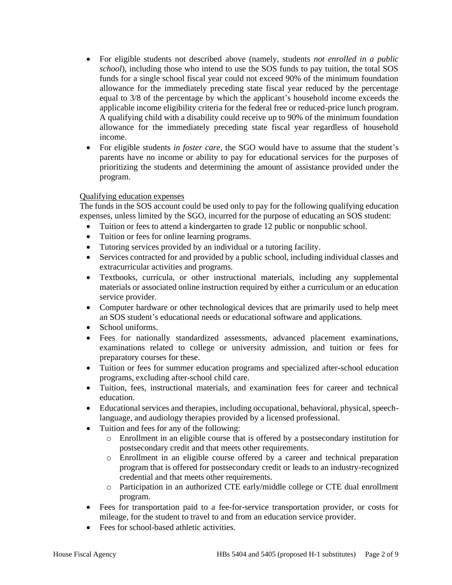- For eligible students not described above (namely, students *not enrolled in a public school*), including those who intend to use the SOS funds to pay tuition, the total SOS funds for a single school fiscal year could not exceed 90% of the minimum foundation allowance for the immediately preceding state fiscal year reduced by the percentage equal to 3/8 of the percentage by which the applicant's household income exceeds the applicable income eligibility criteria for the federal free or reduced-price lunch program. A qualifying child with a disability could receive up to 90% of the minimum foundation allowance for the immediately preceding state fiscal year regardless of household income.
- For eligible students *in foster care*, the SGO would have to assume that the student's parents have no income or ability to pay for educational services for the purposes of prioritizing the students and determining the amount of assistance provided under the program.

## Qualifying education expenses

The funds in the SOS account could be used only to pay for the following qualifying education expenses, unless limited by the SGO, incurred for the purpose of educating an SOS student:

- Tuition or fees to attend a kindergarten to grade 12 public or nonpublic school.
- Tuition or fees for online learning programs.
- Tutoring services provided by an individual or a tutoring facility.
- Services contracted for and provided by a public school, including individual classes and extracurricular activities and programs.
- Textbooks, curricula, or other instructional materials, including any supplemental materials or associated online instruction required by either a curriculum or an education service provider.
- Computer hardware or other technological devices that are primarily used to help meet an SOS student's educational needs or educational software and applications.
- School uniforms.
- Fees for nationally standardized assessments, advanced placement examinations, examinations related to college or university admission, and tuition or fees for preparatory courses for these.
- Tuition or fees for summer education programs and specialized after-school education programs, excluding after-school child care.
- Tuition, fees, instructional materials, and examination fees for career and technical education.
- Educational services and therapies, including occupational, behavioral, physical, speechlanguage, and audiology therapies provided by a licensed professional.
- Tuition and fees for any of the following:
	- o Enrollment in an eligible course that is offered by a postsecondary institution for postsecondary credit and that meets other requirements.
	- o Enrollment in an eligible course offered by a career and technical preparation program that is offered for postsecondary credit or leads to an industry-recognized credential and that meets other requirements.
	- o Participation in an authorized CTE early/middle college or CTE dual enrollment program.
- Fees for transportation paid to a fee-for-service transportation provider, or costs for mileage, for the student to travel to and from an education service provider.
- Fees for school-based athletic activities.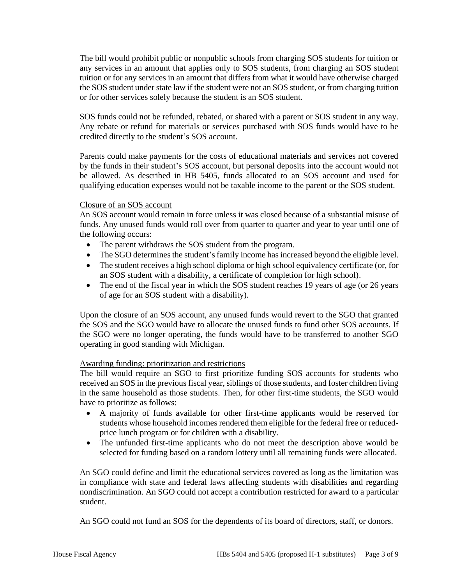The bill would prohibit public or nonpublic schools from charging SOS students for tuition or any services in an amount that applies only to SOS students, from charging an SOS student tuition or for any services in an amount that differs from what it would have otherwise charged the SOS student under state law if the student were not an SOS student, or from charging tuition or for other services solely because the student is an SOS student.

SOS funds could not be refunded, rebated, or shared with a parent or SOS student in any way. Any rebate or refund for materials or services purchased with SOS funds would have to be credited directly to the student's SOS account.

Parents could make payments for the costs of educational materials and services not covered by the funds in their student's SOS account, but personal deposits into the account would not be allowed. As described in HB 5405, funds allocated to an SOS account and used for qualifying education expenses would not be taxable income to the parent or the SOS student.

### Closure of an SOS account

An SOS account would remain in force unless it was closed because of a substantial misuse of funds. Any unused funds would roll over from quarter to quarter and year to year until one of the following occurs:

- The parent withdraws the SOS student from the program.
- The SGO determines the student's family income has increased beyond the eligible level.
- The student receives a high school diploma or high school equivalency certificate (or, for an SOS student with a disability, a certificate of completion for high school).
- The end of the fiscal year in which the SOS student reaches 19 years of age (or 26 years of age for an SOS student with a disability).

Upon the closure of an SOS account, any unused funds would revert to the SGO that granted the SOS and the SGO would have to allocate the unused funds to fund other SOS accounts. If the SGO were no longer operating, the funds would have to be transferred to another SGO operating in good standing with Michigan.

# Awarding funding: prioritization and restrictions

The bill would require an SGO to first prioritize funding SOS accounts for students who received an SOS in the previous fiscal year, siblings of those students, and foster children living in the same household as those students. Then, for other first-time students, the SGO would have to prioritize as follows:

- A majority of funds available for other first-time applicants would be reserved for students whose household incomes rendered them eligible for the federal free or reducedprice lunch program or for children with a disability.
- The unfunded first-time applicants who do not meet the description above would be selected for funding based on a random lottery until all remaining funds were allocated.

An SGO could define and limit the educational services covered as long as the limitation was in compliance with state and federal laws affecting students with disabilities and regarding nondiscrimination. An SGO could not accept a contribution restricted for award to a particular student.

An SGO could not fund an SOS for the dependents of its board of directors, staff, or donors.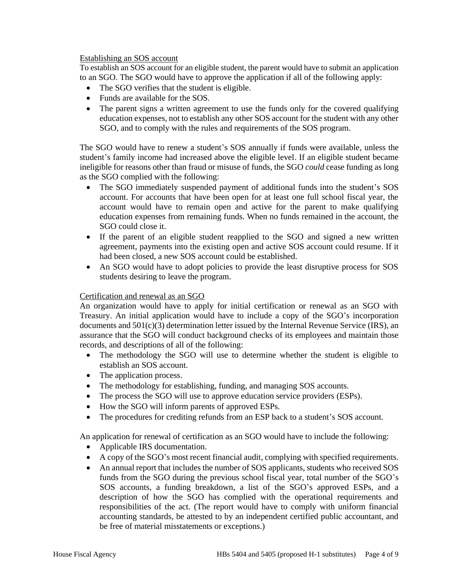### Establishing an SOS account

To establish an SOS account for an eligible student, the parent would have to submit an application to an SGO. The SGO would have to approve the application if all of the following apply:

- The SGO verifies that the student is eligible.
- Funds are available for the SOS.
- The parent signs a written agreement to use the funds only for the covered qualifying education expenses, not to establish any other SOS account for the student with any other SGO, and to comply with the rules and requirements of the SOS program.

The SGO would have to renew a student's SOS annually if funds were available, unless the student's family income had increased above the eligible level. If an eligible student became ineligible for reasons other than fraud or misuse of funds, the SGO *could* cease funding as long as the SGO complied with the following:

- The SGO immediately suspended payment of additional funds into the student's SOS account. For accounts that have been open for at least one full school fiscal year, the account would have to remain open and active for the parent to make qualifying education expenses from remaining funds. When no funds remained in the account, the SGO could close it.
- If the parent of an eligible student reapplied to the SGO and signed a new written agreement, payments into the existing open and active SOS account could resume. If it had been closed, a new SOS account could be established.
- An SGO would have to adopt policies to provide the least disruptive process for SOS students desiring to leave the program.

# Certification and renewal as an SGO

An organization would have to apply for initial certification or renewal as an SGO with Treasury. An initial application would have to include a copy of the SGO's incorporation documents and 501(c)(3) determination letter issued by the Internal Revenue Service (IRS), an assurance that the SGO will conduct background checks of its employees and maintain those records, and descriptions of all of the following:

- The methodology the SGO will use to determine whether the student is eligible to establish an SOS account.
- The application process.
- The methodology for establishing, funding, and managing SOS accounts.
- The process the SGO will use to approve education service providers (ESPs).
- How the SGO will inform parents of approved ESPs.
- The procedures for crediting refunds from an ESP back to a student's SOS account.

An application for renewal of certification as an SGO would have to include the following:

- Applicable IRS documentation.
- A copy of the SGO's most recent financial audit, complying with specified requirements.
- An annual report that includes the number of SOS applicants, students who received SOS funds from the SGO during the previous school fiscal year, total number of the SGO's SOS accounts, a funding breakdown, a list of the SGO's approved ESPs, and a description of how the SGO has complied with the operational requirements and responsibilities of the act. (The report would have to comply with uniform financial accounting standards, be attested to by an independent certified public accountant, and be free of material misstatements or exceptions.)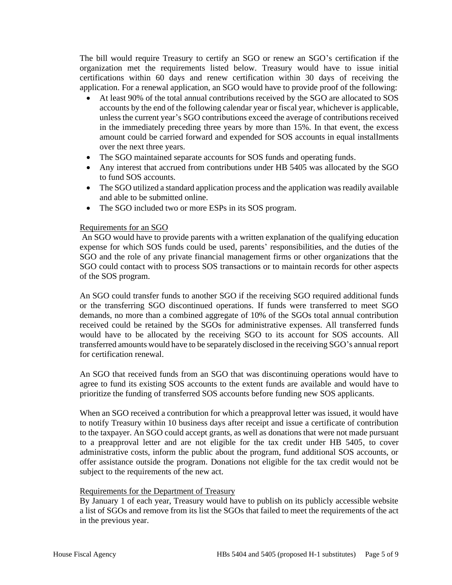The bill would require Treasury to certify an SGO or renew an SGO's certification if the organization met the requirements listed below. Treasury would have to issue initial certifications within 60 days and renew certification within 30 days of receiving the application. For a renewal application, an SGO would have to provide proof of the following:

- At least 90% of the total annual contributions received by the SGO are allocated to SOS accounts by the end of the following calendar year or fiscal year, whichever is applicable, unless the current year's SGO contributions exceed the average of contributions received in the immediately preceding three years by more than 15%. In that event, the excess amount could be carried forward and expended for SOS accounts in equal installments over the next three years.
- The SGO maintained separate accounts for SOS funds and operating funds.
- Any interest that accrued from contributions under HB 5405 was allocated by the SGO to fund SOS accounts.
- The SGO utilized a standard application process and the application was readily available and able to be submitted online.
- The SGO included two or more ESPs in its SOS program.

## Requirements for an SGO

An SGO would have to provide parents with a written explanation of the qualifying education expense for which SOS funds could be used, parents' responsibilities, and the duties of the SGO and the role of any private financial management firms or other organizations that the SGO could contact with to process SOS transactions or to maintain records for other aspects of the SOS program.

An SGO could transfer funds to another SGO if the receiving SGO required additional funds or the transferring SGO discontinued operations. If funds were transferred to meet SGO demands, no more than a combined aggregate of 10% of the SGOs total annual contribution received could be retained by the SGOs for administrative expenses. All transferred funds would have to be allocated by the receiving SGO to its account for SOS accounts. All transferred amounts would have to be separately disclosed in the receiving SGO's annual report for certification renewal.

An SGO that received funds from an SGO that was discontinuing operations would have to agree to fund its existing SOS accounts to the extent funds are available and would have to prioritize the funding of transferred SOS accounts before funding new SOS applicants.

When an SGO received a contribution for which a preapproval letter was issued, it would have to notify Treasury within 10 business days after receipt and issue a certificate of contribution to the taxpayer. An SGO could accept grants, as well as donations that were not made pursuant to a preapproval letter and are not eligible for the tax credit under HB 5405, to cover administrative costs, inform the public about the program, fund additional SOS accounts, or offer assistance outside the program. Donations not eligible for the tax credit would not be subject to the requirements of the new act.

### Requirements for the Department of Treasury

By January 1 of each year, Treasury would have to publish on its publicly accessible website a list of SGOs and remove from its list the SGOs that failed to meet the requirements of the act in the previous year.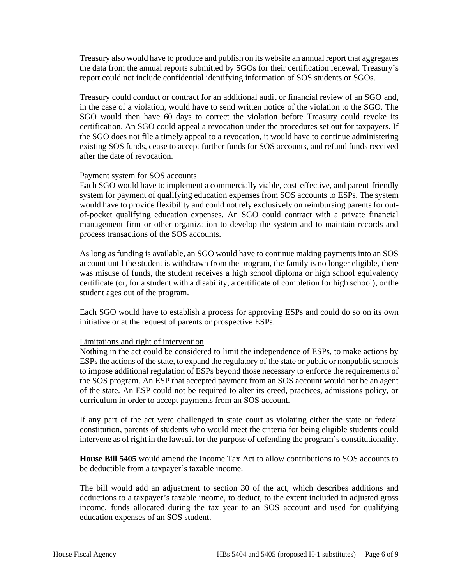Treasury also would have to produce and publish on its website an annual report that aggregates the data from the annual reports submitted by SGOs for their certification renewal. Treasury's report could not include confidential identifying information of SOS students or SGOs.

Treasury could conduct or contract for an additional audit or financial review of an SGO and, in the case of a violation, would have to send written notice of the violation to the SGO. The SGO would then have 60 days to correct the violation before Treasury could revoke its certification. An SGO could appeal a revocation under the procedures set out for taxpayers. If the SGO does not file a timely appeal to a revocation, it would have to continue administering existing SOS funds, cease to accept further funds for SOS accounts, and refund funds received after the date of revocation.

### Payment system for SOS accounts

Each SGO would have to implement a commercially viable, cost-effective, and parent-friendly system for payment of qualifying education expenses from SOS accounts to ESPs. The system would have to provide flexibility and could not rely exclusively on reimbursing parents for outof-pocket qualifying education expenses. An SGO could contract with a private financial management firm or other organization to develop the system and to maintain records and process transactions of the SOS accounts.

As long as funding is available, an SGO would have to continue making payments into an SOS account until the student is withdrawn from the program, the family is no longer eligible, there was misuse of funds, the student receives a high school diploma or high school equivalency certificate (or, for a student with a disability, a certificate of completion for high school), or the student ages out of the program.

Each SGO would have to establish a process for approving ESPs and could do so on its own initiative or at the request of parents or prospective ESPs.

### Limitations and right of intervention

Nothing in the act could be considered to limit the independence of ESPs, to make actions by ESPs the actions of the state, to expand the regulatory of the state or public or nonpublic schools to impose additional regulation of ESPs beyond those necessary to enforce the requirements of the SOS program. An ESP that accepted payment from an SOS account would not be an agent of the state. An ESP could not be required to alter its creed, practices, admissions policy, or curriculum in order to accept payments from an SOS account.

If any part of the act were challenged in state court as violating either the state or federal constitution, parents of students who would meet the criteria for being eligible students could intervene as of right in the lawsuit for the purpose of defending the program's constitutionality.

**House Bill 5405** would amend the Income Tax Act to allow contributions to SOS accounts to be deductible from a taxpayer's taxable income.

The bill would add an adjustment to section 30 of the act, which describes additions and deductions to a taxpayer's taxable income, to deduct, to the extent included in adjusted gross income, funds allocated during the tax year to an SOS account and used for qualifying education expenses of an SOS student.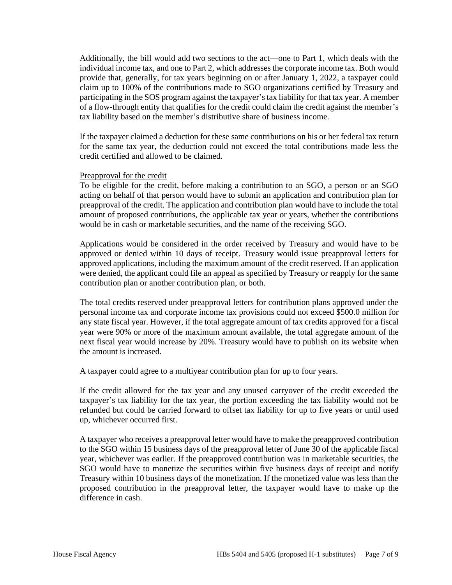Additionally, the bill would add two sections to the act—one to Part 1, which deals with the individual income tax, and one to Part 2, which addresses the corporate income tax. Both would provide that, generally, for tax years beginning on or after January 1, 2022, a taxpayer could claim up to 100% of the contributions made to SGO organizations certified by Treasury and participating in the SOS program against the taxpayer's tax liability for that tax year. A member of a flow-through entity that qualifies for the credit could claim the credit against the member's tax liability based on the member's distributive share of business income.

If the taxpayer claimed a deduction for these same contributions on his or her federal tax return for the same tax year, the deduction could not exceed the total contributions made less the credit certified and allowed to be claimed.

#### Preapproval for the credit

To be eligible for the credit, before making a contribution to an SGO, a person or an SGO acting on behalf of that person would have to submit an application and contribution plan for preapproval of the credit. The application and contribution plan would have to include the total amount of proposed contributions, the applicable tax year or years, whether the contributions would be in cash or marketable securities, and the name of the receiving SGO.

Applications would be considered in the order received by Treasury and would have to be approved or denied within 10 days of receipt. Treasury would issue preapproval letters for approved applications, including the maximum amount of the credit reserved. If an application were denied, the applicant could file an appeal as specified by Treasury or reapply for the same contribution plan or another contribution plan, or both.

The total credits reserved under preapproval letters for contribution plans approved under the personal income tax and corporate income tax provisions could not exceed \$500.0 million for any state fiscal year. However, if the total aggregate amount of tax credits approved for a fiscal year were 90% or more of the maximum amount available, the total aggregate amount of the next fiscal year would increase by 20%. Treasury would have to publish on its website when the amount is increased.

A taxpayer could agree to a multiyear contribution plan for up to four years.

If the credit allowed for the tax year and any unused carryover of the credit exceeded the taxpayer's tax liability for the tax year, the portion exceeding the tax liability would not be refunded but could be carried forward to offset tax liability for up to five years or until used up, whichever occurred first.

A taxpayer who receives a preapproval letter would have to make the preapproved contribution to the SGO within 15 business days of the preapproval letter of June 30 of the applicable fiscal year, whichever was earlier. If the preapproved contribution was in marketable securities, the SGO would have to monetize the securities within five business days of receipt and notify Treasury within 10 business days of the monetization. If the monetized value was less than the proposed contribution in the preapproval letter, the taxpayer would have to make up the difference in cash.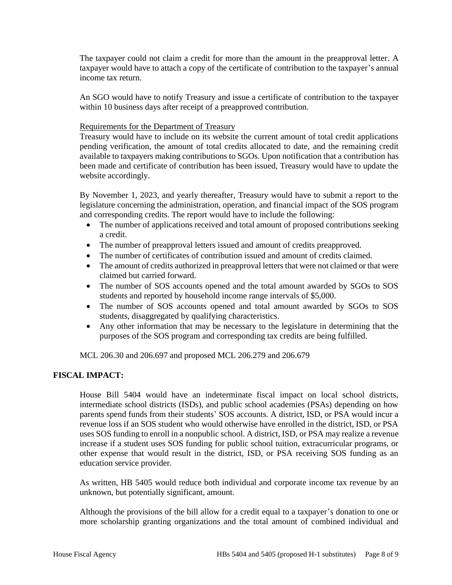The taxpayer could not claim a credit for more than the amount in the preapproval letter. A taxpayer would have to attach a copy of the certificate of contribution to the taxpayer's annual income tax return.

An SGO would have to notify Treasury and issue a certificate of contribution to the taxpayer within 10 business days after receipt of a preapproved contribution.

## Requirements for the Department of Treasury

Treasury would have to include on its website the current amount of total credit applications pending verification, the amount of total credits allocated to date, and the remaining credit available to taxpayers making contributions to SGOs. Upon notification that a contribution has been made and certificate of contribution has been issued, Treasury would have to update the website accordingly.

By November 1, 2023, and yearly thereafter, Treasury would have to submit a report to the legislature concerning the administration, operation, and financial impact of the SOS program and corresponding credits. The report would have to include the following:

- The number of applications received and total amount of proposed contributions seeking a credit.
- The number of preapproval letters issued and amount of credits preapproved.
- The number of certificates of contribution issued and amount of credits claimed.
- The amount of credits authorized in preapproval letters that were not claimed or that were claimed but carried forward.
- The number of SOS accounts opened and the total amount awarded by SGOs to SOS students and reported by household income range intervals of \$5,000.
- The number of SOS accounts opened and total amount awarded by SGOs to SOS students, disaggregated by qualifying characteristics.
- Any other information that may be necessary to the legislature in determining that the purposes of the SOS program and corresponding tax credits are being fulfilled.

MCL 206.30 and 206.697 and proposed MCL 206.279 and 206.679

# **FISCAL IMPACT:**

House Bill 5404 would have an indeterminate fiscal impact on local school districts, intermediate school districts (ISDs), and public school academies (PSAs) depending on how parents spend funds from their students' SOS accounts. A district, ISD, or PSA would incur a revenue loss if an SOS student who would otherwise have enrolled in the district, ISD, or PSA uses SOS funding to enroll in a nonpublic school. A district, ISD, or PSA may realize a revenue increase if a student uses SOS funding for public school tuition, extracurricular programs, or other expense that would result in the district, ISD, or PSA receiving SOS funding as an education service provider.

As written, HB 5405 would reduce both individual and corporate income tax revenue by an unknown, but potentially significant, amount.

Although the provisions of the bill allow for a credit equal to a taxpayer's donation to one or more scholarship granting organizations and the total amount of combined individual and